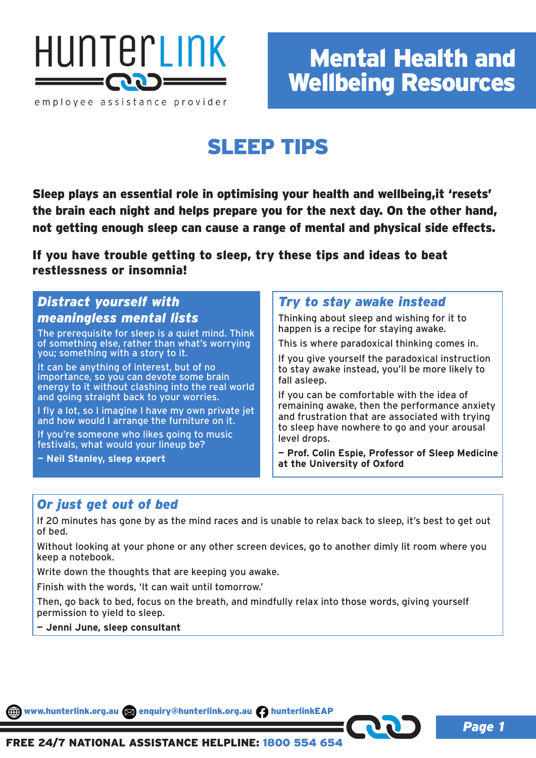

## SLEEP TIPS

Sleep plays an essential role in optimising your health and wellbeing,it 'resets' the brain each night and helps prepare you for the next day. On the other hand, not getting enough sleep can cause a range of mental and physical side effects.

If you have trouble getting to sleep, try these tips and ideas to beat restlessness or insomnia!

### *Distract yourself with meaningless mental lists*

The prerequisite for sleep is a quiet mind. Think of something else, rather than what's worrying you; something with a story to it.

It can be anything of interest, but of no importance, so you can devote some brain energy to it without clashing into the real world and going straight back to your worries.

I fly a lot, so I imagine I have my own private jet and how would I arrange the furniture on it.

If you're someone who likes going to music festivals, what would your lineup be?

**— Neil Stanley, sleep expert**

#### *Try to stay awake instead*

Thinking about sleep and wishing for it to happen is a recipe for staying awake.

This is where paradoxical thinking comes in.

If you give yourself the paradoxical instruction to stay awake instead, you'll be more likely to fall asleep.

If you can be comfortable with the idea of remaining awake, then the performance anxiety and frustration that are associated with trying to sleep have nowhere to go and your arousal level drops.

**— Prof. Colin Espie, Professor of Sleep Medicine at the University of Oxford**

### *Or just get out of bed*

If 20 minutes has gone by as the mind races and is unable to relax back to sleep, it's best to get out of bed.

Without looking at your phone or any other screen devices, go to another dimly lit room where you keep a notebook.

Write down the thoughts that are keeping you awake.

Finish with the words, 'It can wait until tomorrow.'

Then, go back to bed, focus on the breath, and mindfully relax into those words, giving yourself permission to yield to sleep.

**— Jenni June, sleep consultant**

www.hunterlink.org.au and enquiry@hunterlink.org.au hunterlinkEAP